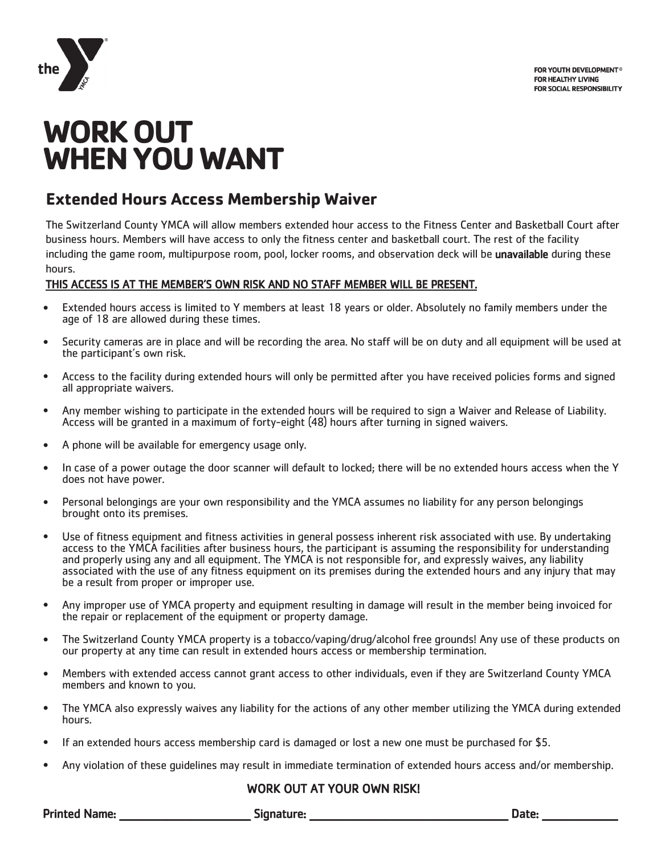

# **WORK OUT WHEN YOU WANT**

## **Extended Hours Access Membership Waiver**

The Switzerland County YMCA will allow members extended hour access to the Fitness Center and Basketball Court after business hours. Members will have access to only the fitness center and basketball court. The rest of the facility including the game room, multipurpose room, pool, locker rooms, and observation deck will be unavailable during these hours.

#### THIS ACCESS IS AT THE MEMBER'S OWN RISK AND NO STAFF MEMBER WILL BE PRESENT.

- Extended hours access is limited to Y members at least 18 years or older. Absolutely no family members under the age of 18 are allowed during these times.
- Security cameras are in place and will be recording the area. No staff will be on duty and all equipment will be used at the participant's own risk.
- Access to the facility during extended hours will only be permitted after you have received policies forms and signed all appropriate waivers.
- Any member wishing to participate in the extended hours will be required to sign a Waiver and Release of Liability. Access will be granted in a maximum of forty-eight (48) hours after turning in signed waivers.
- A phone will be available for emergency usage only.
- In case of a power outage the door scanner will default to locked; there will be no extended hours access when the Y does not have power.
- Personal belongings are your own responsibility and the YMCA assumes no liability for any person belongings brought onto its premises.
- Use of fitness equipment and fitness activities in general possess inherent risk associated with use. By undertaking access to the YMCA facilities after business hours, the participant is assuming the responsibility for understanding and properly using any and all equipment. The YMCA is not responsible for, and expressly waives, any liability associated with the use of any fitness equipment on its premises during the extended hours and any injury that may be a result from proper or improper use.
- Any improper use of YMCA property and equipment resulting in damage will result in the member being invoiced for the repair or replacement of the equipment or property damage.
- The Switzerland County YMCA property is a tobacco/vaping/drug/alcohol free grounds! Any use of these products on our property at any time can result in extended hours access or membership termination.
- Members with extended access cannot grant access to other individuals, even if they are Switzerland County YMCA members and known to you.
- The YMCA also expressly waives any liability for the actions of any other member utilizing the YMCA during extended hours.
- If an extended hours access membership card is damaged or lost a new one must be purchased for \$5.
- Any violation of these guidelines may result in immediate termination of extended hours access and/or membership.

### WORK OUT AT YOUR OWN RISK!

Printed Name: etc. and the subset of Signature: Equation of the set of the set of the set of the set of the set of the set of the set of the set of the set of the set of the set of the set of the set of the set of the set